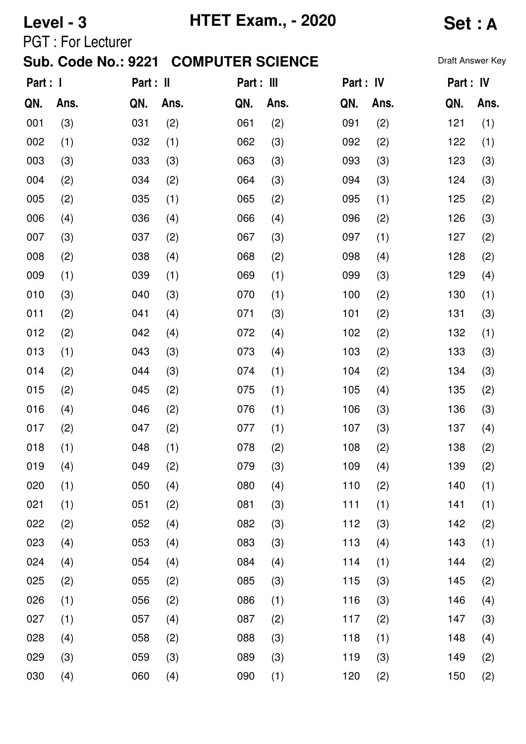| <b>HTET Exam., - 2020</b><br>Level - 3 |                          |                            |           |                         |            |     | <b>Set: A</b> |           |                  |
|----------------------------------------|--------------------------|----------------------------|-----------|-------------------------|------------|-----|---------------|-----------|------------------|
|                                        | <b>PGT: For Lecturer</b> | <b>Sub. Code No.: 9221</b> |           | <b>COMPUTER SCIENCE</b> |            |     |               |           | Draft Answer Key |
| Part : I                               |                          |                            | Part : II |                         | Part : III |     | Part : IV     | Part : IV |                  |
| QN.                                    | Ans.                     | QN.                        | Ans.      | QN.                     | Ans.       | QN. | Ans.          | QN.       | Ans.             |
| 001                                    | (3)                      | 031                        | (2)       | 061                     | (2)        | 091 | (2)           | 121       | (1)              |
| 002                                    | (1)                      | 032                        | (1)       | 062                     | (3)        | 092 | (2)           | 122       | (1)              |
| 003                                    | (3)                      | 033                        | (3)       | 063                     | (3)        | 093 | (3)           | 123       | (3)              |
| 004                                    | (2)                      | 034                        | (2)       | 064                     | (3)        | 094 | (3)           | 124       | (3)              |
| 005                                    | (2)                      | 035                        | (1)       | 065                     | (2)        | 095 | (1)           | 125       | (2)              |
| 006                                    | (4)                      | 036                        | (4)       | 066                     | (4)        | 096 | (2)           | 126       | (3)              |
| 007                                    | (3)                      | 037                        | (2)       | 067                     | (3)        | 097 | (1)           | 127       | (2)              |
| 008                                    | (2)                      | 038                        | (4)       | 068                     | (2)        | 098 | (4)           | 128       | (2)              |
| 009                                    | (1)                      | 039                        | (1)       | 069                     | (1)        | 099 | (3)           | 129       | (4)              |
| 010                                    | (3)                      | 040                        | (3)       | 070                     | (1)        | 100 | (2)           | 130       | (1)              |
| 011                                    | (2)                      | 041                        | (4)       | 071                     | (3)        | 101 | (2)           | 131       | (3)              |
| 012                                    | (2)                      | 042                        | (4)       | 072                     | (4)        | 102 | (2)           | 132       | (1)              |
| 013                                    | (1)                      | 043                        | (3)       | 073                     | (4)        | 103 | (2)           | 133       | (3)              |
| 014                                    | (2)                      | 044                        | (3)       | 074                     | (1)        | 104 | (2)           | 134       | (3)              |
| 015                                    | (2)                      | 045                        | (2)       | 075                     | (1)        | 105 | (4)           | 135       | (2)              |
| 016                                    | (4)                      | 046                        | (2)       | 076                     | (1)        | 106 | (3)           | 136       | (3)              |
| 017                                    | (2)                      | 047                        | (2)       | 077                     | (1)        | 107 | (3)           | 137       | (4)              |
| 018                                    | (1)                      | 048                        | (1)       | 078                     | (2)        | 108 | (2)           | 138       | (2)              |
| 019                                    | (4)                      | 049                        | (2)       | 079                     | (3)        | 109 | (4)           | 139       | (2)              |
| 020                                    | (1)                      | 050                        | (4)       | 080                     | (4)        | 110 | (2)           | 140       | (1)              |
| 021                                    | (1)                      | 051                        | (2)       | 081                     | (3)        | 111 | (1)           | 141       | (1)              |
| 022                                    | (2)                      | 052                        | (4)       | 082                     | (3)        | 112 | (3)           | 142       | (2)              |
| 023                                    | (4)                      | 053                        | (4)       | 083                     | (3)        | 113 | (4)           | 143       | (1)              |
| 024                                    | (4)                      | 054                        | (4)       | 084                     | (4)        | 114 | (1)           | 144       | (2)              |
| 025                                    | (2)                      | 055                        | (2)       | 085                     | (3)        | 115 | (3)           | 145       | (2)              |
| 026                                    | (1)                      | 056                        | (2)       | 086                     | (1)        | 116 | (3)           | 146       | (4)              |
| 027                                    | (1)                      | 057                        | (4)       | 087                     | (2)        | 117 | (2)           | 147       | (3)              |
| 028                                    | (4)                      | 058                        | (2)       | 088                     | (3)        | 118 | (1)           | 148       | (4)              |
| 029                                    | (3)                      | 059                        | (3)       | 089                     | (3)        | 119 | (3)           | 149       | (2)              |
| 030                                    | (4)                      | 060                        | (4)       | 090                     | (1)        | 120 | (2)           | 150       | (2)              |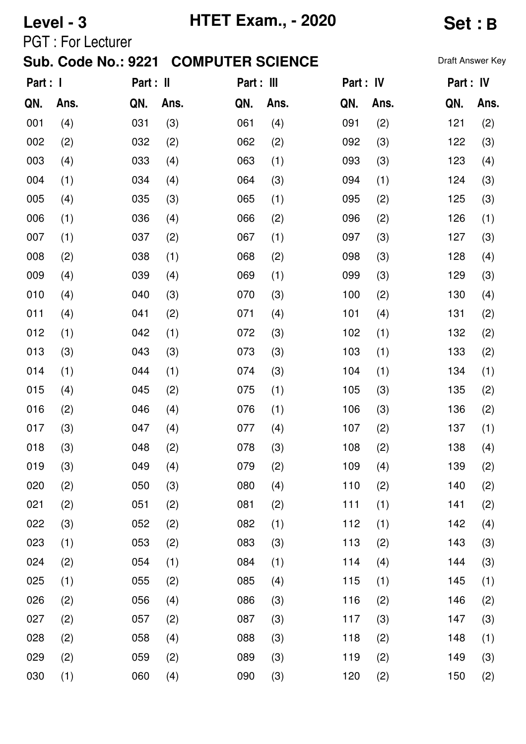| <b>HTET Exam., - 2020</b><br>Level - 3 |                          |                            |           |                         |            |     | <b>Set:B</b> |           |                  |
|----------------------------------------|--------------------------|----------------------------|-----------|-------------------------|------------|-----|--------------|-----------|------------------|
|                                        | <b>PGT: For Lecturer</b> | <b>Sub. Code No.: 9221</b> |           | <b>COMPUTER SCIENCE</b> |            |     |              |           | Draft Answer Key |
| Part : I                               |                          |                            | Part : II |                         | Part : III |     | Part : IV    | Part : IV |                  |
| QN.                                    | Ans.                     | QN.                        | Ans.      | QN.                     | Ans.       | QN. | Ans.         | QN.       | Ans.             |
| 001                                    | (4)                      | 031                        | (3)       | 061                     | (4)        | 091 | (2)          | 121       | (2)              |
| 002                                    | (2)                      | 032                        | (2)       | 062                     | (2)        | 092 | (3)          | 122       | (3)              |
| 003                                    | (4)                      | 033                        | (4)       | 063                     | (1)        | 093 | (3)          | 123       | (4)              |
| 004                                    | (1)                      | 034                        | (4)       | 064                     | (3)        | 094 | (1)          | 124       | (3)              |
| 005                                    | (4)                      | 035                        | (3)       | 065                     | (1)        | 095 | (2)          | 125       | (3)              |
| 006                                    | (1)                      | 036                        | (4)       | 066                     | (2)        | 096 | (2)          | 126       | (1)              |
| 007                                    | (1)                      | 037                        | (2)       | 067                     | (1)        | 097 | (3)          | 127       | (3)              |
| 008                                    | (2)                      | 038                        | (1)       | 068                     | (2)        | 098 | (3)          | 128       | (4)              |
| 009                                    | (4)                      | 039                        | (4)       | 069                     | (1)        | 099 | (3)          | 129       | (3)              |
| 010                                    | (4)                      | 040                        | (3)       | 070                     | (3)        | 100 | (2)          | 130       | (4)              |
| 011                                    | (4)                      | 041                        | (2)       | 071                     | (4)        | 101 | (4)          | 131       | (2)              |
| 012                                    | (1)                      | 042                        | (1)       | 072                     | (3)        | 102 | (1)          | 132       | (2)              |
| 013                                    | (3)                      | 043                        | (3)       | 073                     | (3)        | 103 | (1)          | 133       | (2)              |
| 014                                    | (1)                      | 044                        | (1)       | 074                     | (3)        | 104 | (1)          | 134       | (1)              |
| 015                                    | (4)                      | 045                        | (2)       | 075                     | (1)        | 105 | (3)          | 135       | (2)              |
| 016                                    | (2)                      | 046                        | (4)       | 076                     | (1)        | 106 | (3)          | 136       | (2)              |
| 017                                    | (3)                      | 047                        | (4)       | 077                     | (4)        | 107 | (2)          | 137       | (1)              |
| 018                                    | (3)                      | 048                        | (2)       | 078                     | (3)        | 108 | (2)          | 138       | (4)              |
| 019                                    | (3)                      | 049                        | (4)       | 079                     | (2)        | 109 | (4)          | 139       | (2)              |
| 020                                    | (2)                      | 050                        | (3)       | 080                     | (4)        | 110 | (2)          | 140       | (2)              |
| 021                                    | (2)                      | 051                        | (2)       | 081                     | (2)        | 111 | (1)          | 141       | (2)              |
| 022                                    | (3)                      | 052                        | (2)       | 082                     | (1)        | 112 | (1)          | 142       | (4)              |
| 023                                    | (1)                      | 053                        | (2)       | 083                     | (3)        | 113 | (2)          | 143       | (3)              |
| 024                                    | (2)                      | 054                        | (1)       | 084                     | (1)        | 114 | (4)          | 144       | (3)              |
| 025                                    | (1)                      | 055                        | (2)       | 085                     | (4)        | 115 | (1)          | 145       | (1)              |
| 026                                    | (2)                      | 056                        | (4)       | 086                     | (3)        | 116 | (2)          | 146       | (2)              |
| 027                                    | (2)                      | 057                        | (2)       | 087                     | (3)        | 117 | (3)          | 147       | (3)              |
| 028                                    | (2)                      | 058                        | (4)       | 088                     | (3)        | 118 | (2)          | 148       | (1)              |
| 029                                    | (2)                      | 059                        | (2)       | 089                     | (3)        | 119 | (2)          | 149       | (3)              |
| 030                                    | (1)                      | 060                        | (4)       | 090                     | (3)        | 120 | (2)          | 150       | (2)              |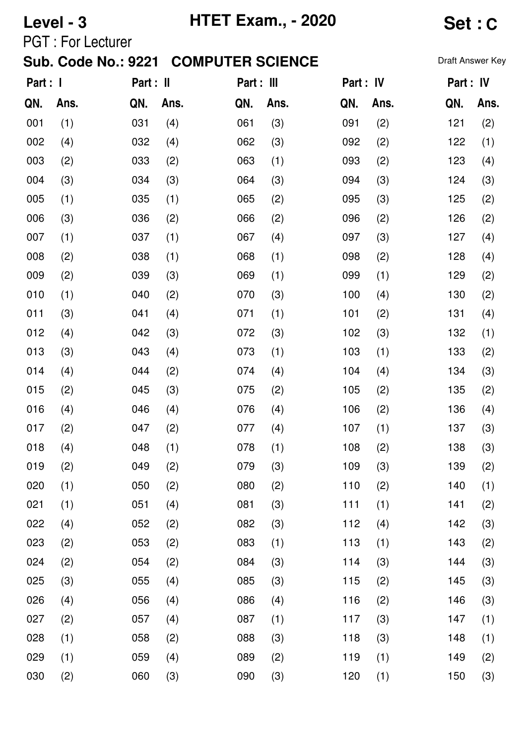| <b>HTET Exam., - 2020</b><br>Level - 3              |                          |     |      |                         |      |           |      | <b>Set:C</b> |                  |  |
|-----------------------------------------------------|--------------------------|-----|------|-------------------------|------|-----------|------|--------------|------------------|--|
|                                                     | <b>PGT: For Lecturer</b> |     |      | <b>COMPUTER SCIENCE</b> |      |           |      |              | Draft Answer Key |  |
| <b>Sub. Code No.: 9221</b><br>Part : I<br>Part : II |                          |     |      | Part : III              |      | Part : IV |      | Part : IV    |                  |  |
| QN.                                                 | Ans.                     | QN. | Ans. | QN.                     | Ans. | QN.       | Ans. | QN.          | Ans.             |  |
| 001                                                 | (1)                      | 031 | (4)  | 061                     | (3)  | 091       | (2)  | 121          | (2)              |  |
| 002                                                 | (4)                      | 032 | (4)  | 062                     | (3)  | 092       | (2)  | 122          | (1)              |  |
| 003                                                 | (2)                      | 033 | (2)  | 063                     | (1)  | 093       | (2)  | 123          | (4)              |  |
| 004                                                 | (3)                      | 034 | (3)  | 064                     | (3)  | 094       | (3)  | 124          | (3)              |  |
| 005                                                 | (1)                      | 035 | (1)  | 065                     | (2)  | 095       | (3)  | 125          | (2)              |  |
| 006                                                 | (3)                      | 036 | (2)  | 066                     | (2)  | 096       | (2)  | 126          | (2)              |  |
| 007                                                 | (1)                      | 037 | (1)  | 067                     | (4)  | 097       | (3)  | 127          | (4)              |  |
| 008                                                 | (2)                      | 038 | (1)  | 068                     | (1)  | 098       | (2)  | 128          | (4)              |  |
| 009                                                 | (2)                      | 039 | (3)  | 069                     | (1)  | 099       | (1)  | 129          | (2)              |  |
| 010                                                 | (1)                      | 040 | (2)  | 070                     | (3)  | 100       | (4)  | 130          | (2)              |  |
| 011                                                 | (3)                      | 041 | (4)  | 071                     | (1)  | 101       | (2)  | 131          | (4)              |  |
| 012                                                 | (4)                      | 042 | (3)  | 072                     | (3)  | 102       | (3)  | 132          | (1)              |  |
| 013                                                 | (3)                      | 043 | (4)  | 073                     | (1)  | 103       | (1)  | 133          | (2)              |  |
| 014                                                 | (4)                      | 044 | (2)  | 074                     | (4)  | 104       | (4)  | 134          | (3)              |  |
| 015                                                 | (2)                      | 045 | (3)  | 075                     | (2)  | 105       | (2)  | 135          | (2)              |  |
| 016                                                 | (4)                      | 046 | (4)  | 076                     | (4)  | 106       | (2)  | 136          | (4)              |  |
| 017                                                 | (2)                      | 047 | (2)  | 077                     | (4)  | 107       | (1)  | 137          | (3)              |  |
| 018                                                 | (4)                      | 048 | (1)  | 078                     | (1)  | 108       | (2)  | 138          | (3)              |  |
| 019                                                 | (2)                      | 049 | (2)  | 079                     | (3)  | 109       | (3)  | 139          | (2)              |  |
| 020                                                 | (1)                      | 050 | (2)  | 080                     | (2)  | 110       | (2)  | 140          | (1)              |  |
| 021                                                 | (1)                      | 051 | (4)  | 081                     | (3)  | 111       | (1)  | 141          | (2)              |  |
| 022                                                 | (4)                      | 052 | (2)  | 082                     | (3)  | 112       | (4)  | 142          | (3)              |  |
| 023                                                 | (2)                      | 053 | (2)  | 083                     | (1)  | 113       | (1)  | 143          | (2)              |  |
| 024                                                 | (2)                      | 054 | (2)  | 084                     | (3)  | 114       | (3)  | 144          | (3)              |  |
| 025                                                 | (3)                      | 055 | (4)  | 085                     | (3)  | 115       | (2)  | 145          | (3)              |  |
| 026                                                 | (4)                      | 056 | (4)  | 086                     | (4)  | 116       | (2)  | 146          | (3)              |  |
| 027                                                 | (2)                      | 057 | (4)  | 087                     | (1)  | 117       | (3)  | 147          | (1)              |  |
| 028                                                 | (1)                      | 058 | (2)  | 088                     | (3)  | 118       | (3)  | 148          | (1)              |  |
| 029                                                 | (1)                      | 059 | (4)  | 089                     | (2)  | 119       | (1)  | 149          | (2)              |  |
| 030                                                 | (2)                      | 060 | (3)  | 090                     | (3)  | 120       | (1)  | 150          | (3)              |  |